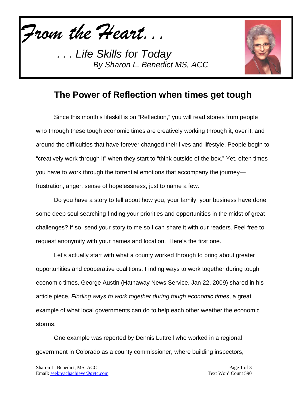*From the Heart...*



## **The Power of Reflection when times get tough**

Since this month's lifeskill is on "Reflection," you will read stories from people who through these tough economic times are creatively working through it, over it, and around the difficulties that have forever changed their lives and lifestyle. People begin to "creatively work through it" when they start to "think outside of the box." Yet, often times you have to work through the torrential emotions that accompany the journey frustration, anger, sense of hopelessness, just to name a few.

Do you have a story to tell about how you, your family, your business have done some deep soul searching finding your priorities and opportunities in the midst of great challenges? If so, send your story to me so I can share it with our readers. Feel free to request anonymity with your names and location. Here's the first one.

Let's actually start with what a county worked through to bring about greater opportunities and cooperative coalitions. Finding ways to work together during tough economic times, George Austin (Hathaway News Service, Jan 22, 2009) shared in his article piece, *Finding ways to work together during tough economic times*, a great example of what local governments can do to help each other weather the economic storms.

One example was reported by Dennis Luttrell who worked in a regional government in Colorado as a county commissioner, where building inspectors,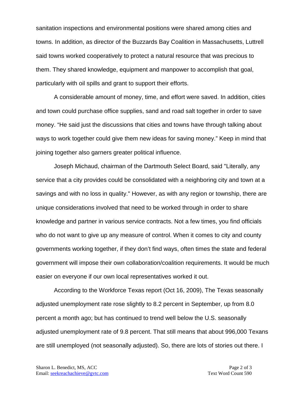sanitation inspections and environmental positions were shared among cities and towns. In addition, as director of the Buzzards Bay Coalition in Massachusetts, Luttrell said towns worked cooperatively to protect a natural resource that was precious to them. They shared knowledge, equipment and manpower to accomplish that goal, particularly with oil spills and grant to support their efforts.

A considerable amount of money, time, and effort were saved. In addition, cities and town could purchase office supplies, sand and road salt together in order to save money. "He said just the discussions that cities and towns have through talking about ways to work together could give them new ideas for saving money." Keep in mind that joining together also garners greater political influence.

Joseph Michaud, chairman of the Dartmouth Select Board, said "Literally, any service that a city provides could be consolidated with a neighboring city and town at a savings and with no loss in quality." However, as with any region or township, there are unique considerations involved that need to be worked through in order to share knowledge and partner in various service contracts. Not a few times, you find officials who do not want to give up any measure of control. When it comes to city and county governments working together, if they don't find ways, often times the state and federal government will impose their own collaboration/coalition requirements. It would be much easier on everyone if our own local representatives worked it out.

According to the Workforce Texas report (Oct 16, 2009), The Texas seasonally adjusted unemployment rate rose slightly to 8.2 percent in September, up from 8.0 percent a month ago; but has continued to trend well below the U.S. seasonally adjusted unemployment rate of 9.8 percent. That still means that about 996,000 Texans are still unemployed (not seasonally adjusted). So, there are lots of stories out there. I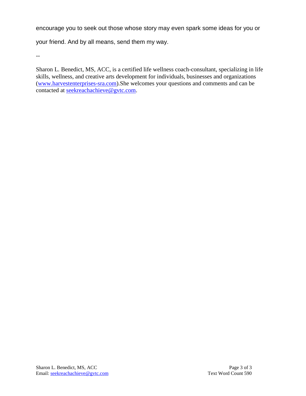encourage you to seek out those whose story may even spark some ideas for you or

your friend. And by all means, send them my way.

--

Sharon L. Benedict, MS, ACC, is a certified life wellness coach-consultant, specializing in life skills, wellness, and creative arts development for individuals, businesses and organizations [\(www.harvestenterprises-sra.com\)](http://www.harvestenterprises-sra.com/).She welcomes your questions and comments and can be contacted at **seekreachachieve@gvtc.com**.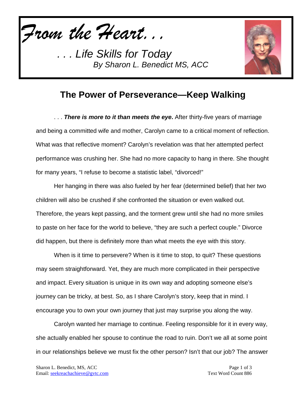*From the Heart...*



## **The Power of Perseverance—Keep Walking**

. . . *There is more to it than meets the eye***.** After thirty-five years of marriage and being a committed wife and mother, Carolyn came to a critical moment of reflection. What was that reflective moment? Carolyn's revelation was that her attempted perfect performance was crushing her. She had no more capacity to hang in there. She thought for many years, "I refuse to become a statistic label, "divorced!"

Her hanging in there was also fueled by her fear (determined belief) that her two children will also be crushed if she confronted the situation or even walked out. Therefore, the years kept passing, and the torment grew until she had no more smiles to paste on her face for the world to believe, "they are such a perfect couple." Divorce did happen, but there is definitely more than what meets the eye with this story.

When is it time to persevere? When is it time to stop, to quit? These questions may seem straightforward. Yet, they are much more complicated in their perspective and impact. Every situation is unique in its own way and adopting someone else's journey can be tricky, at best. So, as I share Carolyn's story, keep that in mind. I encourage you to own your own journey that just may surprise you along the way.

Carolyn wanted her marriage to continue. Feeling responsible for it in every way, she actually enabled her spouse to continue the road to ruin. Don't we all at some point in our relationships believe we must fix the other person? Isn't that our job? The answer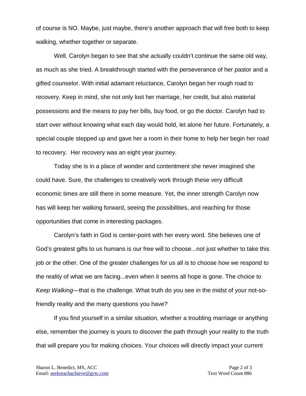of course is NO. Maybe, just maybe, there's another approach that will free both to keep walking, whether together or separate.

Well, Carolyn began to see that she actually couldn't continue the same old way, as much as she tried. A breakthrough started with the perseverance of her pastor and a gifted counselor. With initial adamant reluctance, Carolyn began her rough road to recovery. Keep in mind, she not only lost her marriage, her credit, but also material possessions and the means to pay her bills, buy food, or go the doctor. Carolyn had to start over without knowing what each day would hold, let alone her future. Fortunately, a special couple stepped up and gave her a room in their home to help her begin her road to recovery. Her recovery was an eight year journey.

Today she is in a place of wonder and contentment she never imagined she could have. Sure, the challenges to creatively work through these very difficult economic times are still there in some measure. Yet, the inner strength Carolyn now has will keep her walking forward, seeing the possibilities, and reaching for those opportunities that come in interesting packages.

Carolyn's faith in God is center-point with her every word. She believes one of God's greatest gifts to us humans is our free will to choose...not just whether to take this job or the other. One of the greater challenges for us all is to choose how we respond to the reality of what we are facing...even when it seems all hope is gone. The choice to *Keep Walking—*that is the challenge*.* What truth do you see in the midst of your not-sofriendly reality and the many questions you have?

If you find yourself in a similar situation, whether a troubling marriage or anything else, remember the journey is yours to discover the path through your reality to the truth that will prepare you for making choices. Your choices will directly impact your current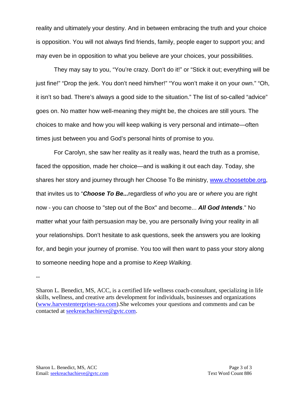reality and ultimately your destiny. And in between embracing the truth and your choice is opposition. You will not always find friends, family, people eager to support you; and may even be in opposition to what you believe are your choices, your possibilities.

They may say to you, "You're crazy. Don't do it!" or "Stick it out; everything will be just fine!" "Drop the jerk. You don't need him/her!" "You won't make it on your own." "Oh, it isn't so bad. There's always a good side to the situation." The list of so-called "advice" goes on. No matter how well-meaning they might be, the choices are still yours. The choices to make and how you will keep walking is very personal and intimate—often times just between you and God's personal hints of promise to you.

For Carolyn, she saw her reality as it really was, heard the truth as a promise, faced the opposition, made her choice—and is walking it out each day. Today, she shares her story and journey through her Choose To Be ministry, [www.choosetobe.org,](http://www.choosetobe.org/) that invites us to "*Choose To Be...*regardless of *who* you are or *where* you are right now - you can choose to "step out of the Box" and become... *All God Intends*." No matter what your faith persuasion may be, you are personally living your reality in all your relationships. Don't hesitate to ask questions, seek the answers you are looking for, and begin your journey of promise. You too will then want to pass your story along to someone needing hope and a promise to *Keep Walking.*

--

Sharon L. Benedict, MS, ACC, is a certified life wellness coach-consultant, specializing in life skills, wellness, and creative arts development for individuals, businesses and organizations [\(www.harvestenterprises-sra.com\)](http://www.harvestenterprises-sra.com/).She welcomes your questions and comments and can be contacted at [seekreachachieve@gvtc.com.](mailto:seekreachachieve@gvtc.com)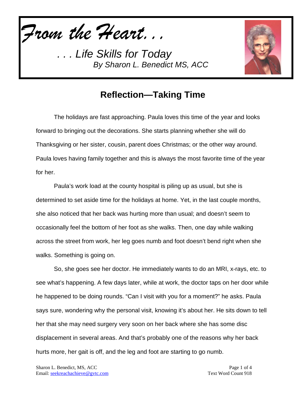*From the Heart...*



## **Reflection—Taking Time**

The holidays are fast approaching. Paula loves this time of the year and looks forward to bringing out the decorations. She starts planning whether she will do Thanksgiving or her sister, cousin, parent does Christmas; or the other way around. Paula loves having family together and this is always the most favorite time of the year for her.

Paula's work load at the county hospital is piling up as usual, but she is determined to set aside time for the holidays at home. Yet, in the last couple months, she also noticed that her back was hurting more than usual; and doesn't seem to occasionally feel the bottom of her foot as she walks. Then, one day while walking across the street from work, her leg goes numb and foot doesn't bend right when she walks. Something is going on.

So, she goes see her doctor. He immediately wants to do an MRI, x-rays, etc. to see what's happening. A few days later, while at work, the doctor taps on her door while he happened to be doing rounds. "Can I visit with you for a moment?" he asks. Paula says sure, wondering why the personal visit, knowing it's about her. He sits down to tell her that she may need surgery very soon on her back where she has some disc displacement in several areas. And that's probably one of the reasons why her back hurts more, her gait is off, and the leg and foot are starting to go numb.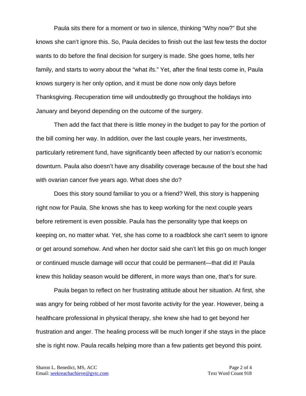Paula sits there for a moment or two in silence, thinking "Why now?" But she knows she can't ignore this. So, Paula decides to finish out the last few tests the doctor wants to do before the final decision for surgery is made. She goes home, tells her family, and starts to worry about the "what ifs." Yet, after the final tests come in, Paula knows surgery is her only option, and it must be done now only days before Thanksgiving. Recuperation time will undoubtedly go throughout the holidays into January and beyond depending on the outcome of the surgery.

Then add the fact that there is little money in the budget to pay for the portion of the bill coming her way. In addition, over the last couple years, her investments, particularly retirement fund, have significantly been affected by our nation's economic downturn. Paula also doesn't have any disability coverage because of the bout she had with ovarian cancer five years ago. What does she do?

Does this story sound familiar to you or a friend? Well, this story is happening right now for Paula. She knows she has to keep working for the next couple years before retirement is even possible. Paula has the personality type that keeps on keeping on, no matter what. Yet, she has come to a roadblock she can't seem to ignore or get around somehow. And when her doctor said she can't let this go on much longer or continued muscle damage will occur that could be permanent—that did it! Paula knew this holiday season would be different, in more ways than one, that's for sure.

Paula began to reflect on her frustrating attitude about her situation. At first, she was angry for being robbed of her most favorite activity for the year. However, being a healthcare professional in physical therapy, she knew she had to get beyond her frustration and anger. The healing process will be much longer if she stays in the place she is right now. Paula recalls helping more than a few patients get beyond this point.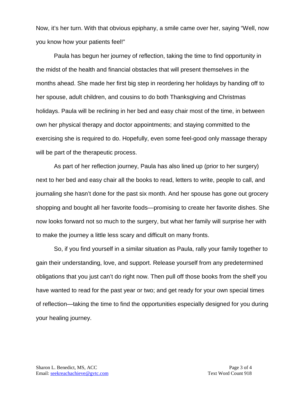Now, it's her turn. With that obvious epiphany, a smile came over her, saying "Well, now you know how your patients feel!"

Paula has begun her journey of reflection, taking the time to find opportunity in the midst of the health and financial obstacles that will present themselves in the months ahead. She made her first big step in reordering her holidays by handing off to her spouse, adult children, and cousins to do both Thanksgiving and Christmas holidays. Paula will be reclining in her bed and easy chair most of the time, in between own her physical therapy and doctor appointments; and staying committed to the exercising she is required to do. Hopefully, even some feel-good only massage therapy will be part of the therapeutic process.

As part of her reflection journey, Paula has also lined up (prior to her surgery) next to her bed and easy chair all the books to read, letters to write, people to call, and journaling she hasn't done for the past six month. And her spouse has gone out grocery shopping and bought all her favorite foods—promising to create her favorite dishes. She now looks forward not so much to the surgery, but what her family will surprise her with to make the journey a little less scary and difficult on many fronts.

So, if you find yourself in a similar situation as Paula, rally your family together to gain their understanding, love, and support. Release yourself from any predetermined obligations that you just can't do right now. Then pull off those books from the shelf you have wanted to read for the past year or two; and get ready for your own special times of reflection—taking the time to find the opportunities especially designed for you during your healing journey.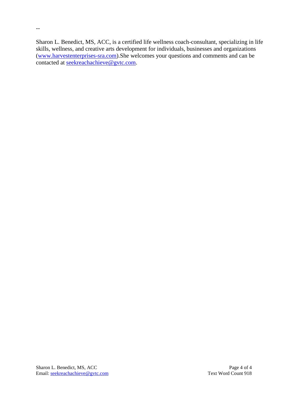Sharon L. Benedict, MS, ACC, is a certified life wellness coach-consultant, specializing in life skills, wellness, and creative arts development for individuals, businesses and organizations [\(www.harvestenterprises-sra.com\)](http://www.harvestenterprises-sra.com/).She welcomes your questions and comments and can be contacted at <u>seekreachachieve@gvtc.com</u>.

--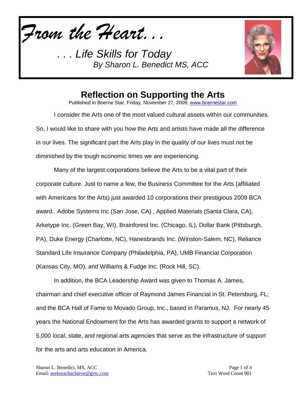*From the Heart...*



## **Reflection on Supporting the Arts**

Published in Boerne Star, Friday, November 27, 2009, [www.boernestar.com](http://www.boernestar.com/)

I consider the Arts one of the most valued cultural assets within our communities. So, I would like to share with you how the Arts and artists have made all the difference in our lives. The significant part the Arts play in the quality of our lives must not be diminished by the tough economic times we are experiencing.

Many of the largest corporations believe the Arts to be a vital part of their corporate culture. Just to name a few, the Business Committee for the Arts (affiliated with Americans for the Arts) just awarded 10 corporations their prestigious 2009 BCA award...Adobe Systems Inc (San Jose, CA) , Applied Materials (Santa Clara, CA), Arketype Inc. (Green Bay, WI), Brainforest Inc. (Chicago, IL), Dollar Bank (Pittsburgh, PA), Duke Energy (Charlotte, NC), Hanesbrands Inc. (Winston-Salem, NC), Reliance Standard Life Insurance Company (Philadelphia, PA), UMB Financial Corporation (Kansas City, MO), and Williams & Fudge Inc. (Rock Hill, SC).

In addition, the BCA Leadership Award was given to Thomas A. James, chairman and chief executive officer of Raymond James Financial in St. Petersburg, FL; and the BCA Hall of Fame to Movado Group, Inc., based in Paramus, NJ. For nearly 45 years the National Endowment for the Arts has awarded grants to support a network of 5,000 local, state, and regional arts agencies that serve as the infrastructure of support for the arts and arts education in America.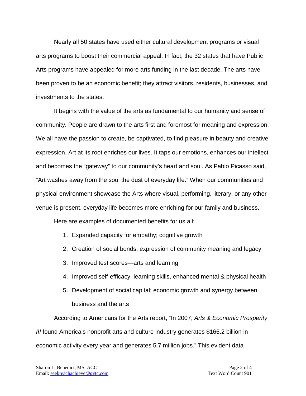Nearly all 50 states have used either cultural development programs or visual arts programs to boost their commercial appeal. In fact, the 32 states that have Public Arts programs have appealed for more arts funding in the last decade. The arts have been proven to be an economic benefit; they attract visitors, residents, businesses, and investments to the states.

It begins with the value of the arts as fundamental to our humanity and sense of community. People are drawn to the arts first and foremost for meaning and expression. We all have the passion to create, be captivated, to find pleasure in beauty and creative expression. Art at its root enriches our lives. It taps our emotions, enhances our intellect and becomes the "gateway" to our community's heart and soul. As Pablo Picasso said, "Art washes away from the soul the dust of everyday life." When our communities and physical environment showcase the Arts where visual, performing, literary, or any other venue is present, everyday life becomes more enriching for our family and business.

Here are examples of documented benefits for us all:

- 1. Expanded capacity for empathy; cognitive growth
- 2. Creation of social bonds; expression of community meaning and legacy
- 3. Improved test scores—arts and learning
- 4. Improved self-efficacy, learning skills, enhanced mental & physical health
- 5. Development of social capital; economic growth and synergy between business and the arts

According to Americans for the Arts report, "In 2007, *Arts & Economic Prosperity III* found America's nonprofit arts and culture industry generates \$166.2 billion in economic activity every year and generates 5.7 million jobs." This evident data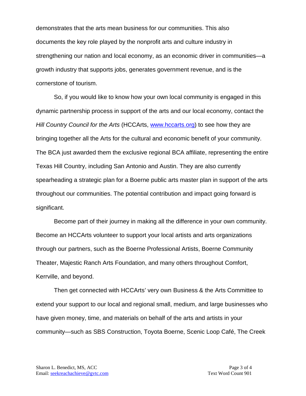demonstrates that the arts mean business for our communities. This also documents the key role played by the nonprofit arts and culture industry in strengthening our nation and local economy, as an economic driver in communities—a growth industry that supports jobs, generates government revenue, and is the cornerstone of tourism.

So, if you would like to know how your own local community is engaged in this dynamic partnership process in support of the arts and our local economy, contact the *Hill Country Council for the Arts* (HCCArts, [www.hccarts.org\)](http://www.hccarts.org/) to see how they are bringing together all the Arts for the cultural and economic benefit of your community. The BCA just awarded them the exclusive regional BCA affiliate, representing the entire Texas Hill Country, including San Antonio and Austin. They are also currently spearheading a strategic plan for a Boerne public arts master plan in support of the arts throughout our communities. The potential contribution and impact going forward is significant.

Become part of their journey in making all the difference in your own community. Become an HCCArts volunteer to support your local artists and arts organizations through our partners, such as the Boerne Professional Artists, Boerne Community Theater, Majestic Ranch Arts Foundation, and many others throughout Comfort, Kerrville, and beyond.

Then get connected with HCCArts' very own Business & the Arts Committee to extend your support to our local and regional small, medium, and large businesses who have given money, time, and materials on behalf of the arts and artists in your community—such as SBS Construction, Toyota Boerne, Scenic Loop Café, The Creek